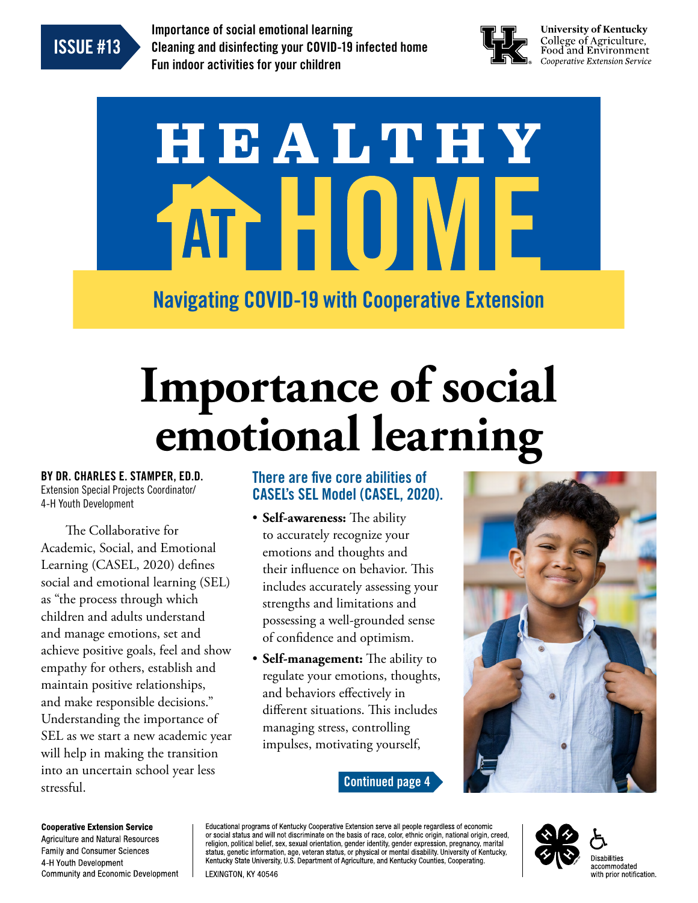<span id="page-0-0"></span>

Importance of social emotional learning Cleaning and disinfecting your COVID-19 infected home Fun indoor activities for your children



**University of Kentucky** College of Agriculture,<br>Food and Environment Cooperative Extension Service

# HEALTHY AT HUIM Navigating COVID-19 with Cooperative Extension

## **Importance of social emotional learning**

BY DR. CHARLES E. STAMPER, ED.D. Extension Special Projects Coordinator/ 4-H Youth Development

The Collaborative for Academic, Social, and Emotional Learning (CASEL, 2020) defines social and emotional learning (SEL) as "the process through which children and adults understand and manage emotions, set and achieve positive goals, feel and show empathy for others, establish and maintain positive relationships, and make responsible decisions." Understanding the importance of SEL as we start a new academic year will help in making the transition into an uncertain school year less stressful.

## There are five core abilities of CASEL's SEL Model (CASEL, 2020).

- **Self-awareness:** The ability to accurately recognize your emotions and thoughts and their influence on behavior. This includes accurately assessing your strengths and limitations and possessing a well-grounded sense of confidence and optimism.
- **Self-management:** The ability to regulate your emotions, thoughts, and behaviors effectively in different situations. This includes managing stress, controlling impulses, motivating yourself,





**Cooperative Extension Service** Agriculture and Natural Resources **Family and Consumer Sciences** 4-H Youth Development **Community and Economic Development** 

Educational programs of Kentucky Cooperative Extension serve all people regardless of economic procedured and will not discriminate on the basis of race, color, ethnic origin, national origin, creed, or social status and will not discriminate on the basis of race, color, ethnic origin, national origin, creed, religi status, genetic information, age, veteran status, or physical or mental disability. University of Kentucky, Kentucky State University, U.S. Department of Agriculture, and Kentucky Counties, Cooperating. LEXINGTON, KY 40546

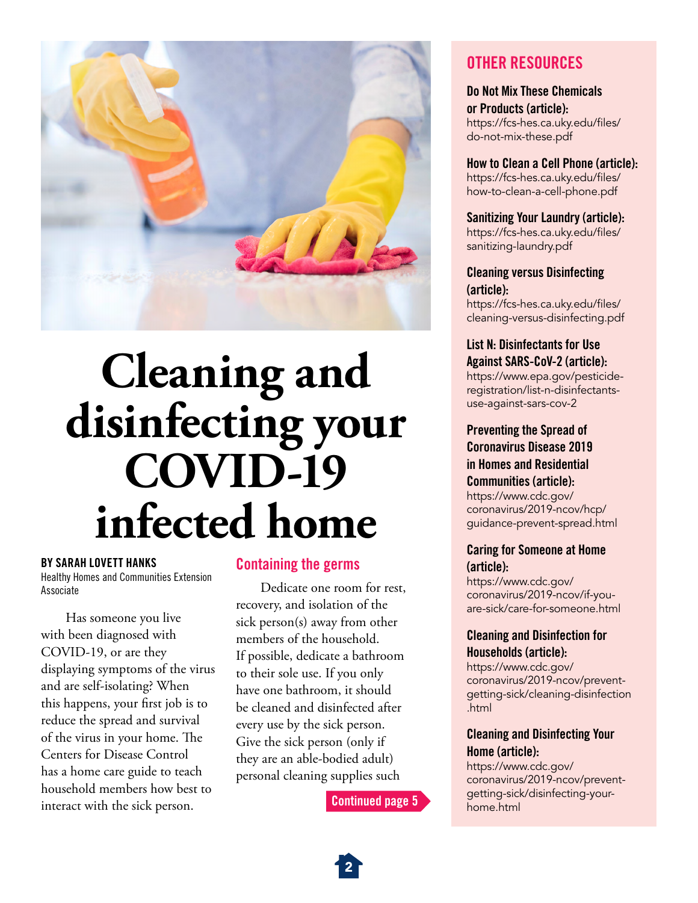<span id="page-1-0"></span>

## **Cleaning and disinfecting your COVID-19 infected home**

#### BY SARAH LOVETT HANKS

Healthy Homes and Communities Extension Associate

Has someone you live with been diagnosed with COVID-19, or are they displaying symptoms of the virus and are self-isolating? When this happens, your first job is to reduce the spread and survival of the virus in your home. The Centers for Disease Control has a home care guide to teach household members how best to interact with the sick person.

## Containing the germs

Dedicate one room for rest, recovery, and isolation of the sick person(s) away from other members of the household. If possible, dedicate a bathroom to their sole use. If you only have one bathroom, it should be cleaned and disinfected after every use by the sick person. Give the sick person (only if they are an able-bodied adult) personal cleaning supplies such

[Continued page 5](#page-4-0)

## OTHER RESOURCES

Do Not Mix These Chemicals or Products (article): [https://fcs-hes.ca.uky.edu/files/](https://fcs-hes.ca.uky.edu/files/do-not-mix-these.pdf) [do-not-mix-these.pdf](https://fcs-hes.ca.uky.edu/files/do-not-mix-these.pdf)

How to Clean a Cell Phone (article): [https://fcs-hes.ca.uky.edu/files/](https://fcs-hes.ca.uky.edu/files/how-to-clean-a-cell-phone.pdf) [how-to-clean-a-cell-phone.pdf](https://fcs-hes.ca.uky.edu/files/how-to-clean-a-cell-phone.pdf)

Sanitizing Your Laundry (article): [https://fcs-hes.ca.uky.edu/files/](https://fcs-hes.ca.uky.edu/files/sanitizing-laundry.pdf) [sanitizing-laundry.pdf](https://fcs-hes.ca.uky.edu/files/sanitizing-laundry.pdf)

#### Cleaning versus Disinfecting (article):

[https://fcs-hes.ca.uky.edu/files/](https://fcs-hes.ca.uky.edu/files/cleaning-versus-disinfecting.pdf) [cleaning-versus-disinfecting.pdf](https://fcs-hes.ca.uky.edu/files/cleaning-versus-disinfecting.pdf)

List N: Disinfectants for Use Against SARS-CoV-2 (article):

[https://www.epa.gov/pesticide](https://www.epa.gov/pesticide-registration/list-n-disinfectants-use-against-sars-cov-2)[registration/list-n-disinfectants](https://www.epa.gov/pesticide-registration/list-n-disinfectants-use-against-sars-cov-2)[use-against-sars-cov-2](https://www.epa.gov/pesticide-registration/list-n-disinfectants-use-against-sars-cov-2)

#### Preventing the Spread of Coronavirus Disease 2019 in Homes and Residential Communities (article): [https://www.cdc.gov/](https://www.cdc.gov/coronavirus/2019-ncov/hcp/guidance-prevent-spread.html) [coronavirus/2019-ncov/hcp/](https://www.cdc.gov/coronavirus/2019-ncov/hcp/guidance-prevent-spread.html) [guidance-prevent-spread.html](https://www.cdc.gov/coronavirus/2019-ncov/hcp/guidance-prevent-spread.html)

#### Caring for Someone at Home (article):

[https://www.cdc.gov/](https://www.cdc.gov/coronavirus/2019-ncov/if-you-are-sick/care-for-someone.html) [coronavirus/2019-ncov/if-you](https://www.cdc.gov/coronavirus/2019-ncov/if-you-are-sick/care-for-someone.html)[are-sick/care-for-someone.html](https://www.cdc.gov/coronavirus/2019-ncov/if-you-are-sick/care-for-someone.html)

### Cleaning and Disinfection for Households (article):

[https://www.cdc.gov/](https://www.cdc.gov/coronavirus/2019-ncov/prevent-getting-sick/cleaning-disinfection.html) [coronavirus/2019-ncov/prevent](https://www.cdc.gov/coronavirus/2019-ncov/prevent-getting-sick/cleaning-disinfection.html)[getting-sick/cleaning-disinfection](https://www.cdc.gov/coronavirus/2019-ncov/prevent-getting-sick/cleaning-disinfection.html) [.html](https://www.cdc.gov/coronavirus/2019-ncov/prevent-getting-sick/cleaning-disinfection.html)

### Cleaning and Disinfecting Your Home (article):

[https://www.cdc.gov/](https://www.cdc.gov/coronavirus/2019-ncov/prevent-getting-sick/disinfecting-your-home.html) [coronavirus/2019-ncov/prevent](https://www.cdc.gov/coronavirus/2019-ncov/prevent-getting-sick/disinfecting-your-home.html)[getting-sick/disinfecting-your](https://www.cdc.gov/coronavirus/2019-ncov/prevent-getting-sick/disinfecting-your-home.html)[home.html](https://www.cdc.gov/coronavirus/2019-ncov/prevent-getting-sick/disinfecting-your-home.html)

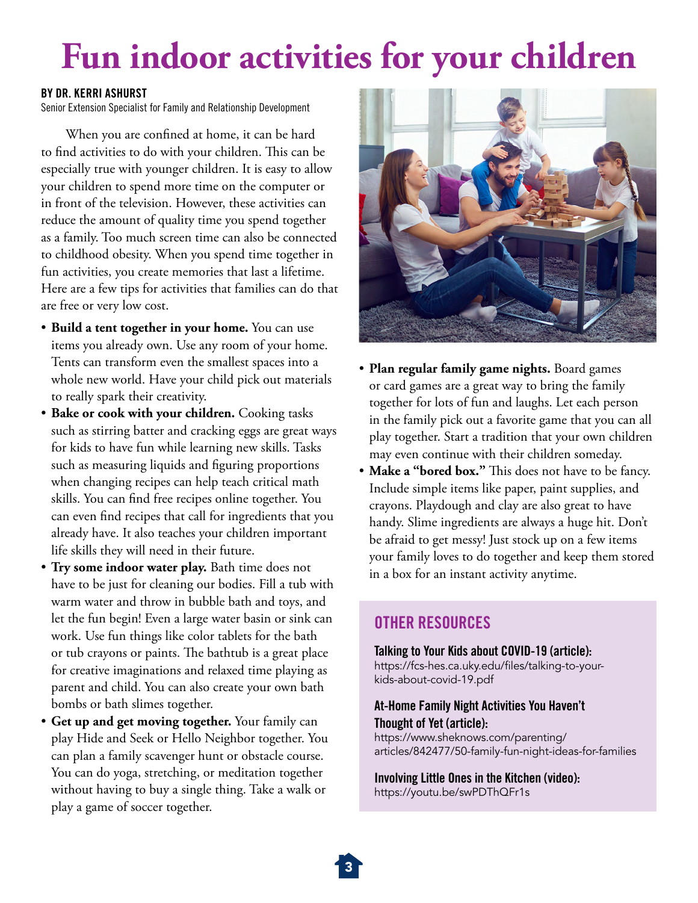## **Fun indoor activities for your children**

#### BY DR. KERRI ASHURST

Senior Extension Specialist for Family and Relationship Development

When you are confined at home, it can be hard to find activities to do with your children. This can be especially true with younger children. It is easy to allow your children to spend more time on the computer or in front of the television. However, these activities can reduce the amount of quality time you spend together as a family. Too much screen time can also be connected to childhood obesity. When you spend time together in fun activities, you create memories that last a lifetime. Here are a few tips for activities that families can do that are free or very low cost.

- **Build a tent together in your home.** You can use items you already own. Use any room of your home. Tents can transform even the smallest spaces into a whole new world. Have your child pick out materials to really spark their creativity.
- **Bake or cook with your children.** Cooking tasks such as stirring batter and cracking eggs are great ways for kids to have fun while learning new skills. Tasks such as measuring liquids and figuring proportions when changing recipes can help teach critical math skills. You can find free recipes online together. You can even find recipes that call for ingredients that you already have. It also teaches your children important life skills they will need in their future.
- **Try some indoor water play.** Bath time does not have to be just for cleaning our bodies. Fill a tub with warm water and throw in bubble bath and toys, and let the fun begin! Even a large water basin or sink can work. Use fun things like color tablets for the bath or tub crayons or paints. The bathtub is a great place for creative imaginations and relaxed time playing as parent and child. You can also create your own bath bombs or bath slimes together.
- **Get up and get moving together.** Your family can play Hide and Seek or Hello Neighbor together. You can plan a family scavenger hunt or obstacle course. You can do yoga, stretching, or meditation together without having to buy a single thing. Take a walk or play a game of soccer together.



- **Plan regular family game nights.** Board games or card games are a great way to bring the family together for lots of fun and laughs. Let each person in the family pick out a favorite game that you can all play together. Start a tradition that your own children may even continue with their children someday.
- **Make a "bored box."** This does not have to be fancy. Include simple items like paper, paint supplies, and crayons. Playdough and clay are also great to have handy. Slime ingredients are always a huge hit. Don't be afraid to get messy! Just stock up on a few items your family loves to do together and keep them stored in a box for an instant activity anytime.

## OTHER RESOURCES

#### Talking to Your Kids about COVID-19 (article):

[https://fcs-hes.ca.uky.edu/files/talking-to-your](https://fcs-hes.ca.uky.edu/files/talking-to-your-kids-about-covid-19.pdf)[kids-about-covid-19.pdf](https://fcs-hes.ca.uky.edu/files/talking-to-your-kids-about-covid-19.pdf)

### At-Home Family Night Activities You Haven't Thought of Yet (article):

[https://www.sheknows.com/parenting/](https://www.sheknows.com/parenting/articles/842477/50-family-fun-night-ideas-for-families) [articles/842477/50-family-fun-night-ideas-for-families](https://www.sheknows.com/parenting/articles/842477/50-family-fun-night-ideas-for-families)

Involving Little Ones in the Kitchen (video): <https://youtu.be/swPDThQFr1s>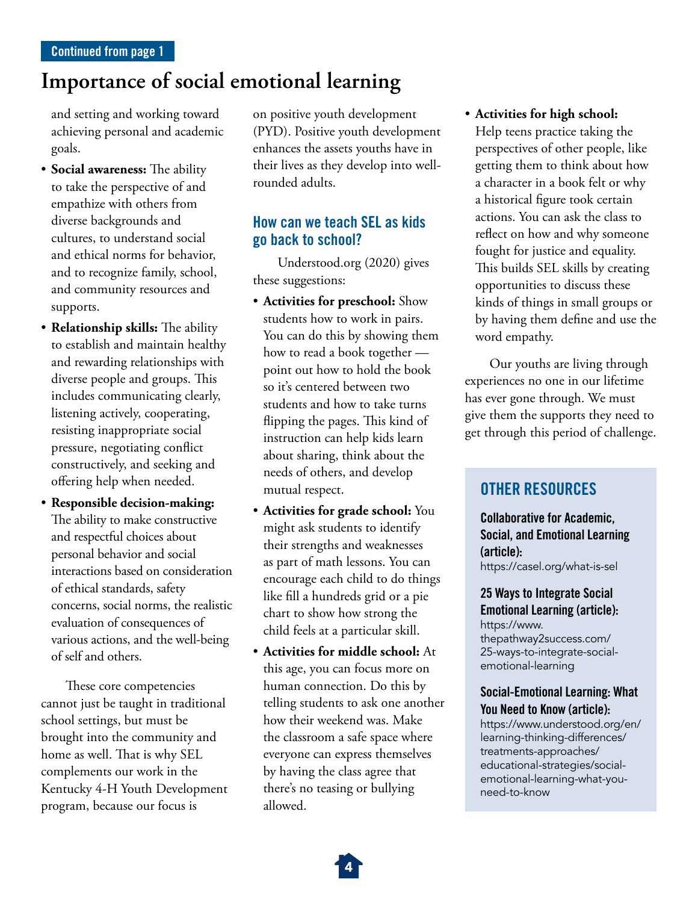## <span id="page-3-0"></span>**Importance of social emotional learning**

and setting and working toward achieving personal and academic goals.

- **Social awareness:** The ability to take the perspective of and empathize with others from diverse backgrounds and cultures, to understand social and ethical norms for behavior, and to recognize family, school, and community resources and supports.
- **Relationship skills:** The ability to establish and maintain healthy and rewarding relationships with diverse people and groups. This includes communicating clearly, listening actively, cooperating, resisting inappropriate social pressure, negotiating conflict constructively, and seeking and offering help when needed.
- **Responsible decision-making:** The ability to make constructive and respectful choices about personal behavior and social interactions based on consideration of ethical standards, safety concerns, social norms, the realistic evaluation of consequences of various actions, and the well-being of self and others.

These core competencies cannot just be taught in traditional school settings, but must be brought into the community and home as well. That is why SEL complements our work in the Kentucky 4-H Youth Development program, because our focus is

on positive youth development (PYD). Positive youth development enhances the assets youths have in their lives as they develop into wellrounded adults.

## How can we teach SEL as kids go back to school?

Understood.org (2020) gives these suggestions:

- **Activities for preschool:** Show students how to work in pairs. You can do this by showing them how to read a book together point out how to hold the book so it's centered between two students and how to take turns flipping the pages. This kind of instruction can help kids learn about sharing, think about the needs of others, and develop mutual respect.
- **Activities for grade school:** You might ask students to identify their strengths and weaknesses as part of math lessons. You can encourage each child to do things like fill a hundreds grid or a pie chart to show how strong the child feels at a particular skill.
- **Activities for middle school:** At this age, you can focus more on human connection. Do this by telling students to ask one another how their weekend was. Make the classroom a safe space where everyone can express themselves by having the class agree that there's no teasing or bullying allowed.

• **Activities for high school:** Help teens practice taking the perspectives of other people, like getting them to think about how a character in a book felt or why a historical figure took certain actions. You can ask the class to reflect on how and why someone fought for justice and equality. This builds SEL skills by creating opportunities to discuss these kinds of things in small groups or by having them define and use the word empathy.

Our youths are living through experiences no one in our lifetime has ever gone through. We must give them the supports they need to get through this period of challenge.

## OTHER RESOURCES

Collaborative for Academic, Social, and Emotional Learning (article): <https://casel.org/what-is-sel>

25 Ways to Integrate Social Emotional Learning (article): [https://www.](https://www.thepathway2success.com/25-ways-to-integrate-social-emotional-learning) [thepathway2success.com/](https://www.thepathway2success.com/25-ways-to-integrate-social-emotional-learning) [25-ways-to-integrate-social](https://www.thepathway2success.com/25-ways-to-integrate-social-emotional-learning)[emotional-learning](https://www.thepathway2success.com/25-ways-to-integrate-social-emotional-learning)

#### Social-Emotional Learning: What You Need to Know (article):

[https://www.understood.org/en/](https://www.understood.org/en/learning-thinking-differences/treatments-approaches/educational-strategies/social-emotional-learning-what-you-need-to-know) [learning-thinking-differences/](https://www.understood.org/en/learning-thinking-differences/treatments-approaches/educational-strategies/social-emotional-learning-what-you-need-to-know) [treatments-approaches/](https://www.understood.org/en/learning-thinking-differences/treatments-approaches/educational-strategies/social-emotional-learning-what-you-need-to-know) [educational-strategies/social](https://www.understood.org/en/learning-thinking-differences/treatments-approaches/educational-strategies/social-emotional-learning-what-you-need-to-know)[emotional-learning-what-you](https://www.understood.org/en/learning-thinking-differences/treatments-approaches/educational-strategies/social-emotional-learning-what-you-need-to-know)[need-to-know](https://www.understood.org/en/learning-thinking-differences/treatments-approaches/educational-strategies/social-emotional-learning-what-you-need-to-know)